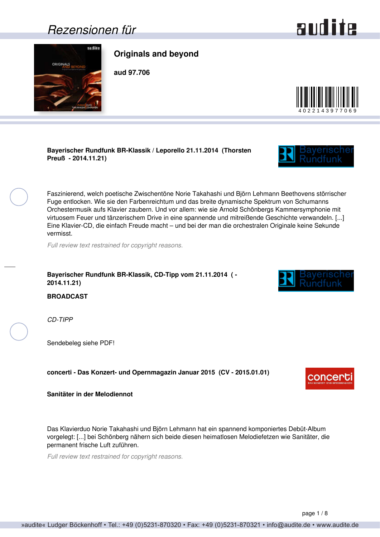### <span id="page-0-0"></span>*Rezensionen für*

sulits

# **Originals and beyond aud 97.706**

#### **Bayerischer Rundfunk BR-Klassik / Leporello 21.11.2014 (Thorsten Preuß - 2014.11.21)**

Faszinierend, welch poetische Zwischentöne Norie Takahashi und Björn Lehmann Beethovens störrischer Fuge entlocken. Wie sie den Farbenreichtum und das breite dynamische Spektrum von Schumanns Orchestermusik aufs Klavier zaubern. Und vor allem: wie sie Arnold Schönbergs Kammersymphonie mit virtuosem Feuer und tänzerischem Drive in eine spannende und mitreißende Geschichte verwandeln. [...] Eine Klavier-CD, die einfach Freude macht – und bei der man die orchestralen Originale keine Sekunde vermisst.

*Full review text restrained for copyright reasons.*

#### **Bayerischer Rundfunk BR-Klassik, CD-Tipp vom 21.11.2014 ( - 2014.11.21)**

**BROADCAST**

*CD-TIPP*

Sendebeleg siehe PDF!

#### **concerti - Das Konzert- und Opernmagazin Januar 2015 (CV - 2015.01.01)**

**Sanitäter in der Melodiennot**

Das Klavierduo Norie Takahashi und Björn Lehmann hat ein spannend komponiertes Debüt-Album vorgelegt: [...] bei Schönberg nähern sich beide diesen heimatlosen Melodiefetzen wie Sanitäter, die permanent frische Luft zuführen.

*Full review text restrained for copyright reasons.*







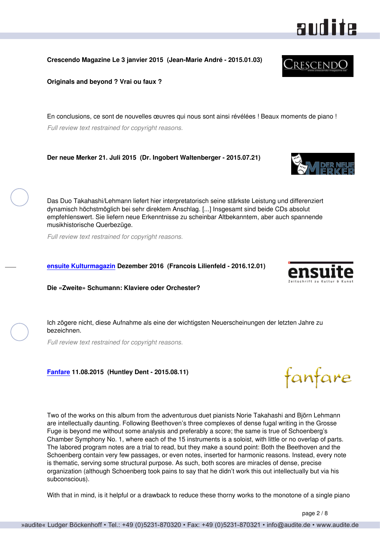<span id="page-1-0"></span>**Crescendo Magazine Le 3 janvier 2015 (Jean-Marie André - 2015.01.03)**

**Originals and beyond ? Vrai ou faux ?**

En conclusions, ce sont de nouvelles œuvres qui nous sont ainsi révélées ! Beaux moments de piano ! *Full review text restrained for copyright reasons.*

**Der neue Merker 21. Juli 2015 (Dr. Ingobert Waltenberger - 2015.07.21)**

Das Duo Takahashi/Lehmann liefert hier interpretatorisch seine stärkste Leistung und differenziert dynamisch höchstmöglich bei sehr direktem Anschlag. [...] Insgesamt sind beide CDs absolut empfehlenswert. Sie liefern neue Erkenntnisse zu scheinbar Altbekanntem, aber auch spannende musikhistorische Querbezüge.

*Full review text restrained for copyright reasons.*

#### **[ensuite Kulturmagazin](http://www.ensuite.ch/) Dezember 2016 (Francois Lilienfeld - 2016.12.01)**

#### **Die «Zweite» Schumann: Klaviere oder Orchester?**

Ich zögere nicht, diese Aufnahme als eine der wichtigsten Neuerscheinungen der letzten Jahre zu bezeichnen.

*Full review text restrained for copyright reasons.*

#### **[Fanfare](http://www.fanfaremag.com/) 11.08.2015 (Huntley Dent - 2015.08.11)**

Two of the works on this album from the adventurous duet pianists Norie Takahashi and Björn Lehmann are intellectually daunting. Following Beethoven's three complexes of dense fugal writing in the Grosse Fuge is beyond me without some analysis and preferably a score; the same is true of Schoenberg's Chamber Symphony No. 1, where each of the 15 instruments is a soloist, with little or no overlap of parts. The labored program notes are a trial to read, but they make a sound point: Both the Beethoven and the Schoenberg contain very few passages, or even notes, inserted for harmonic reasons. Instead, every note is thematic, serving some structural purpose. As such, both scores are miracles of dense, precise organization (although Schoenberg took pains to say that he didn't work this out intellectually but via his subconscious).

With that in mind, is it helpful or a drawback to reduce these thorny works to the monotone of a single piano









CrescendO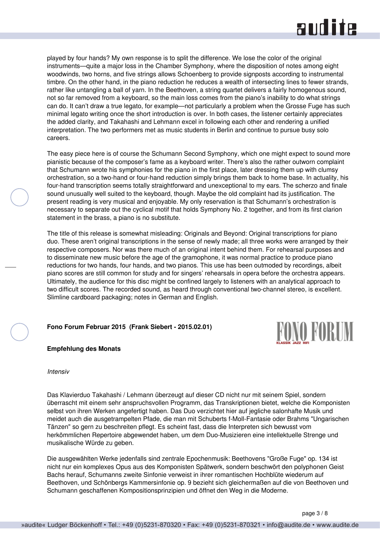### audite

<span id="page-2-0"></span>played by four hands? My own response is to split the difference. We lose the color of the original instruments—quite a major loss in the Chamber Symphony, where the disposition of notes among eight woodwinds, two horns, and five strings allows Schoenberg to provide signposts according to instrumental timbre. On the other hand, in the piano reduction he reduces a wealth of intersecting lines to fewer strands, rather like untangling a ball of yarn. In the Beethoven, a string quartet delivers a fairly homogenous sound, not so far removed from a keyboard, so the main loss comes from the piano's inability to do what strings can do. It can't draw a true legato, for example—not particularly a problem when the Grosse Fuge has such minimal legato writing once the short introduction is over. In both cases, the listener certainly appreciates the added clarity, and Takahashi and Lehmann excel in following each other and rendering a unified interpretation. The two performers met as music students in Berlin and continue to pursue busy solo careers.

The easy piece here is of course the Schumann Second Symphony, which one might expect to sound more pianistic because of the composer's fame as a keyboard writer. There's also the rather outworn complaint that Schumann wrote his symphonies for the piano in the first place, later dressing them up with clumsy orchestration, so a two-hand or four-hand reduction simply brings them back to home base. In actuality, his four-hand transcription seems totally straightforward and unexceptional to my ears. The scherzo and finale sound unusually well suited to the keyboard, though. Maybe the old complaint had its justification. The present reading is very musical and enjoyable. My only reservation is that Schumann's orchestration is necessary to separate out the cyclical motif that holds Symphony No. 2 together, and from its first clarion statement in the brass, a piano is no substitute.

The title of this release is somewhat misleading: Originals and Beyond: Original transcriptions for piano duo. These aren't original transcriptions in the sense of newly made; all three works were arranged by their respective composers. Nor was there much of an original intent behind them. For rehearsal purposes and to disseminate new music before the age of the gramophone, it was normal practice to produce piano reductions for two hands, four hands, and two pianos. This use has been outmoded by recordings, albeit piano scores are still common for study and for singers' rehearsals in opera before the orchestra appears. Ultimately, the audience for this disc might be confined largely to listeners with an analytical approach to two difficult scores. The recorded sound, as heard through conventional two-channel stereo, is excellent. Slimline cardboard packaging; notes in German and English.

#### **Fono Forum Februar 2015 (Frank Siebert - 2015.02.01)**



**Empfehlung des Monats**

#### *Intensiv*

Das Klavierduo Takahashi / Lehmann überzeugt auf dieser CD nicht nur mit seinem Spiel, sondern überrascht mit einem sehr anspruchsvollen Programm, das Transkriptionen bietet, welche die Komponisten selbst von ihren Werken angefertigt haben. Das Duo verzichtet hier auf jegliche salonhafte Musik und meidet auch die ausgetrampelten Pfade, die man mit Schuberts f-Moll-Fantasie oder Brahms "Ungarischen Tänzen" so gern zu beschreiten pflegt. Es scheint fast, dass die Interpreten sich bewusst vom herkömmlichen Repertoire abgewendet haben, um dem Duo-Musizieren eine intellektuelle Strenge und musikalische Würde zu geben.

Die ausgewählten Werke jedenfalls sind zentrale Epochenmusik: Beethovens "Große Fuge" op. 134 ist nicht nur ein komplexes Opus aus des Komponisten Spätwerk, sondern beschwört den polyphonen Geist Bachs herauf, Schumanns zweite Sinfonie verweist in ihrer romantischen Hochblüte wiederum auf Beethoven, und Schönbergs Kammersinfonie op. 9 bezieht sich gleichermaßen auf die von Beethoven und Schumann geschaffenen Kompositionsprinzipien und öffnet den Weg in die Moderne.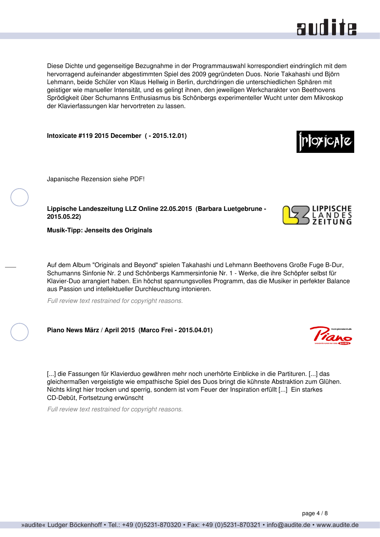

<span id="page-3-0"></span>Diese Dichte und gegenseitige Bezugnahme in der Programmauswahl korrespondiert eindringlich mit dem hervorragend aufeinander abgestimmten Spiel des 2009 gegründeten Duos. Norie Takahashi und Björn Lehmann, beide Schüler von Klaus Hellwig in Berlin, durchdringen die unterschiedlichen Sphären mit geistiger wie manueller Intensität, und es gelingt ihnen, den jeweiligen Werkcharakter von Beethovens Sprödigkeit über Schumanns Enthusiasmus bis Schönbergs experimenteller Wucht unter dem Mikroskop der Klavierfassungen klar hervortreten zu lassen.

**Intoxicate #119 2015 December ( - 2015.12.01)**

Japanische Rezension siehe PDF!

**Lippische Landeszeitung LLZ Online 22.05.2015 (Barbara Luetgebrune - 2015.05.22)**

**Musik-Tipp: Jenseits des Originals**

Auf dem Album "Originals and Beyond" spielen Takahashi und Lehmann Beethovens Große Fuge B-Dur, Schumanns Sinfonie Nr. 2 und Schönbergs Kammersinfonie Nr. 1 - Werke, die ihre Schöpfer selbst für Klavier-Duo arrangiert haben. Ein höchst spannungsvolles Programm, das die Musiker in perfekter Balance aus Passion und intellektueller Durchleuchtung intonieren.

*Full review text restrained for copyright reasons.*

**Piano News März / April 2015 (Marco Frei - 2015.04.01)**

[...] die Fassungen für Klavierduo gewähren mehr noch unerhörte Einblicke in die Partituren. [...] das gleichermaßen vergeistigte wie empathische Spiel des Duos bringt die kühnste Abstraktion zum Glühen. Nichts klingt hier trocken und sperrig, sondern ist vom Feuer der Inspiration erfüllt [...] Ein starkes CD-Debüt, Fortsetzung erwünscht

*Full review text restrained for copyright reasons.*





ioxicate

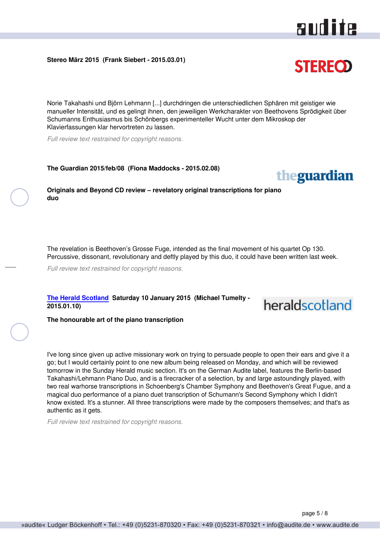#### <span id="page-4-0"></span>**Stereo März 2015 (Frank Siebert - 2015.03.01)**

Norie Takahashi und Björn Lehmann [...] durchdringen die unterschiedlichen Sphären mit geistiger wie manueller Intensität, und es gelingt ihnen, den jeweiligen Werkcharakter von Beethovens Sprödigkeit über Schumanns Enthusiasmus bis Schönbergs experimenteller Wucht unter dem Mikroskop der Klavierfassungen klar hervortreten zu lassen.

*Full review text restrained for copyright reasons.*

**The Guardian 2015/feb/08 (Fiona Maddocks - 2015.02.08)**

**Originals and Beyond CD review – revelatory original transcriptions for piano duo**

The revelation is Beethoven's Grosse Fuge, intended as the final movement of his quartet Op 130. Percussive, dissonant, revolutionary and deftly played by this duo, it could have been written last week.

*Full review text restrained for copyright reasons.*

**[The Herald Scotland](http://www.heraldscotland.com) Saturday 10 January 2015 (Michael Tumelty - 2015.01.10)**

**The honourable art of the piano transcription**

I've long since given up active missionary work on trying to persuade people to open their ears and give it a go; but I would certainly point to one new album being released on Monday, and which will be reviewed tomorrow in the Sunday Herald music section. It's on the German Audite label, features the Berlin-based Takahashi/Lehmann Piano Duo, and is a firecracker of a selection, by and large astoundingly played, with two real warhorse transcriptions in Schoenberg's Chamber Symphony and Beethoven's Great Fugue, and a magical duo performance of a piano duet transcription of Schumann's Second Symphony which I didn't know existed. It's a stunner. All three transcriptions were made by the composers themselves; and that's as authentic as it gets.

*Full review text restrained for copyright reasons.*





heraldscotland

### **STEREOD**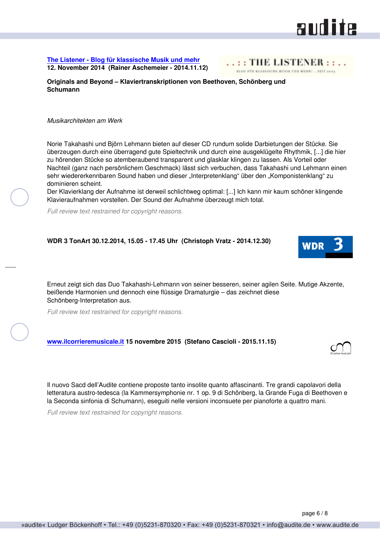#### Nachteil (ganz nach persönlichem Geschmack) lässt sich verbuchen, dass Takahashi und Lehmann einen sehr wiedererkennbaren Sound haben und dieser "Interpretenklang" über den "Komponistenklang" zu

WDR

dominieren scheint.

**Schumann**

*Musikarchitekten am Werk*

Der Klavierklang der Aufnahme ist derweil schlichtweg optimal: [...] Ich kann mir kaum schöner klingende Klavieraufnahmen vorstellen. Der Sound der Aufnahme überzeugt mich total.

Norie Takahashi und Björn Lehmann bieten auf dieser CD rundum solide Darbietungen der Stücke. Sie überzeugen durch eine überragend gute Spieltechnik und durch eine ausgeklügelte Rhythmik, [...] die hier zu hörenden Stücke so atemberaubend transparent und glasklar klingen zu lassen. Als Vorteil oder

*Full review text restrained for copyright reasons.*

<span id="page-5-0"></span>**[The Listener - Blog für klassische Musik und mehr](http://www.incoda.de) 12. November 2014 (Rainer Aschemeier - 2014.11.12)**

#### **WDR 3 TonArt 30.12.2014, 15.05 - 17.45 Uhr (Christoph Vratz - 2014.12.30)**

**Originals and Beyond – Klaviertranskriptionen von Beethoven, Schönberg und**

Erneut zeigt sich das Duo Takahashi-Lehmann von seiner besseren, seiner agilen Seite. Mutige Akzente, beißende Harmonien und dennoch eine flüssige Dramaturgie – das zeichnet diese Schönberg-Interpretation aus.

*Full review text restrained for copyright reasons.*

#### **[www.ilcorrieremusicale.it](http://www.ilcorrieremusicale.it) 15 novembre 2015 (Stefano Cascioli - 2015.11.15)**

Il nuovo Sacd dell'Audite contiene proposte tanto insolite quanto affascinanti. Tre grandi capolavori della letteratura austro-tedesca (la Kammersymphonie nr. 1 op. 9 di Schönberg, la Grande Fuga di Beethoven e la Seconda sinfonia di Schumann), eseguiti nelle versioni inconsuete per pianoforte a quattro mani.

*Full review text restrained for copyright reasons.*

## and ite

RLOG FÜR KLASSISCHE WURIK UND MEHR: ... SEIT 2005

 $\ldots$  THE LISTENER :



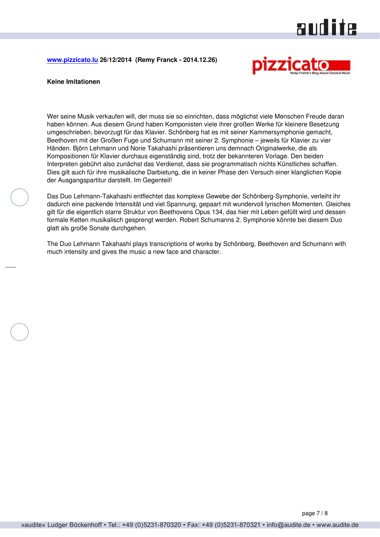### audite

<span id="page-6-0"></span>**[www.pizzicato.lu](http://www.pizzicato.lu) 26/12/2014 (Remy Franck - 2014.12.26)**



#### **Keine Imitationen**

Wer seine Musik verkaufen will, der muss sie so einrichten, dass möglichst viele Menschen Freude daran haben können. Aus diesem Grund haben Komponisten viele ihrer großen Werke für kleinere Besetzung umgeschrieben, bevorzugt für das Klavier. Schönberg hat es mit seiner Kammersymphonie gemacht, Beethoven mit der Großen Fuge und Schumann mit seiner 2. Symphonie – jeweils für Klavier zu vier Händen. Björn Lehmann und Norie Takahashi präsentieren uns demnach Originalwerke, die als Kompositionen für Klavier durchaus eigenständig sind, trotz der bekannteren Vorlage. Den beiden Interpreten gebührt also zunächst das Verdienst, dass sie programmatisch nichts Künstliches schaffen. Dies gilt auch für ihre musikalische Darbietung, die in keiner Phase den Versuch einer klanglichen Kopie der Ausgangspartitur darstellt. Im Gegenteil!

Das Duo Lehmann-Takahashi entflechtet das komplexe Gewebe der Schönberg-Symphonie, verleiht ihr dadurch eine packende Intensität und viel Spannung, gepaart mit wundervoll lyrischen Momenten. Gleiches gilt für die eigentlich starre Struktur von Beethovens Opus 134, das hier mit Leben gefüllt wird und dessen formale Ketten musikalisch gesprengt werden. Robert Schumanns 2. Symphonie könnte bei diesem Duo glatt als große Sonate durchgehen.

The Duo Lehmann Takahashi plays transcriptions of works by Schönberg, Beethoven and Schumann with much intensity and gives the music a new face and character.